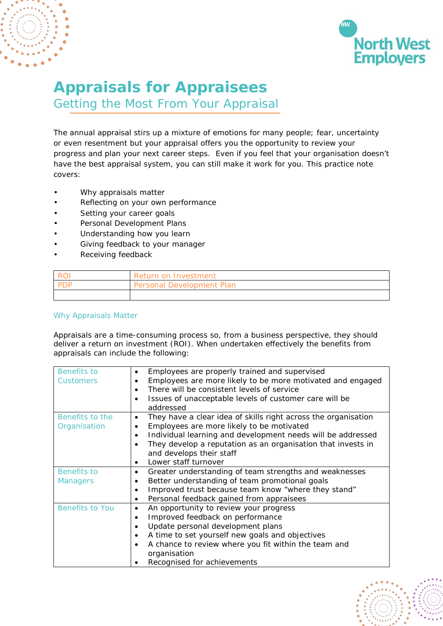



# **Appraisals for Appraisees**

Getting the Most From Your Appraisal

The annual appraisal stirs up a mixture of emotions for many people; fear, uncertainty or even resentment but your appraisal offers you the opportunity to review your progress and plan your next career steps. Even if you feel that your organisation doesn't have the best appraisal system, you can still make it work for you. This practice note covers:

- Why appraisals matter
- Reflecting on your own performance
- Setting your career goals
- Personal Development Plans
- Understanding how you learn
- Giving feedback to your manager
- Receiving feedback

| $\overline{P}$ | Return on Investment      |
|----------------|---------------------------|
| חחם ו          | Personal Development Plan |
|                |                           |

# Why Appraisals Matter

Appraisals are a time-consuming process so, from a business perspective, they should deliver a return on investment (ROI). When undertaken effectively the benefits from appraisals can include the following:

| Benefits to            | Employees are properly trained and supervised<br>$\bullet$                  |  |
|------------------------|-----------------------------------------------------------------------------|--|
| <b>Customers</b>       | Employees are more likely to be more motivated and engaged                  |  |
|                        | There will be consistent levels of service                                  |  |
|                        | Issues of unacceptable levels of customer care will be                      |  |
|                        | addressed                                                                   |  |
| Benefits to the        | They have a clear idea of skills right across the organisation<br>$\bullet$ |  |
| Organisation           | Employees are more likely to be motivated<br>$\bullet$                      |  |
|                        | Individual learning and development needs will be addressed<br>$\bullet$    |  |
|                        | They develop a reputation as an organisation that invests in<br>$\bullet$   |  |
|                        | and develops their staff                                                    |  |
|                        | Lower staff turnover                                                        |  |
|                        | $\bullet$                                                                   |  |
| <b>Benefits to</b>     | Greater understanding of team strengths and weaknesses                      |  |
| <b>Managers</b>        | Better understanding of team promotional goals<br>$\bullet$                 |  |
|                        | Improved trust because team know "where they stand"<br>$\bullet$            |  |
|                        | Personal feedback gained from appraisees<br>$\bullet$                       |  |
| <b>Benefits to You</b> | An opportunity to review your progress<br>٠                                 |  |
|                        | Improved feedback on performance<br>$\bullet$                               |  |
|                        | Update personal development plans<br>$\bullet$                              |  |
|                        | A time to set yourself new goals and objectives<br>$\bullet$                |  |
|                        | A chance to review where you fit within the team and<br>$\bullet$           |  |
|                        | organisation                                                                |  |
|                        | Recognised for achievements                                                 |  |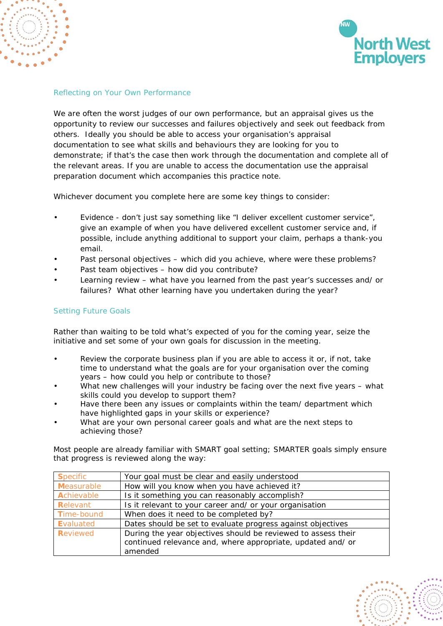



### Reflecting on Your Own Performance

We are often the worst judges of our own performance, but an appraisal gives us the opportunity to review our successes and failures objectively and seek out feedback from others. Ideally you should be able to access your organisation's appraisal documentation to see what skills and behaviours they are looking for you to demonstrate; if that's the case then work through the documentation and complete all of the relevant areas. If you are unable to access the documentation use the appraisal preparation document which accompanies this practice note.

Whichever document you complete here are some key things to consider:

- Evidence don't just say something like "I deliver excellent customer service", give an example of when you have delivered excellent customer service and, if possible, include anything additional to support your claim, perhaps a thank-you email.
- Past personal objectives which did you achieve, where were these problems?
- Past team objectives how did you contribute?
- Learning review what have you learned from the past year's successes and/ or failures? What other learning have you undertaken during the year?

## Setting Future Goals

Rather than waiting to be told what's expected of you for the coming year, seize the initiative and set some of your own goals for discussion in the meeting.

- Review the corporate business plan if you are able to access it or, if not, take time to understand what the goals are for your organisation over the coming years – how could you help or contribute to those?
- What new challenges will your industry be facing over the next five years what skills could you develop to support them?
- Have there been any issues or complaints within the team/ department which have highlighted gaps in your skills or experience?
- What are your own personal career goals and what are the next steps to achieving those?

Most people are already familiar with SMART goal setting; SMARTER goals simply ensure that progress is reviewed along the way:

| <b>Specific</b> | Your goal must be clear and easily understood                 |  |
|-----------------|---------------------------------------------------------------|--|
| Measurable      | How will you know when you have achieved it?                  |  |
| Achievable      | Is it something you can reasonably accomplish?                |  |
| Relevant        | Is it relevant to your career and/ or your organisation       |  |
| Time-bound      | When does it need to be completed by?                         |  |
| Evaluated       | Dates should be set to evaluate progress against objectives   |  |
| Reviewed        | During the year objectives should be reviewed to assess their |  |
|                 | continued relevance and, where appropriate, updated and/ or   |  |
|                 | amended                                                       |  |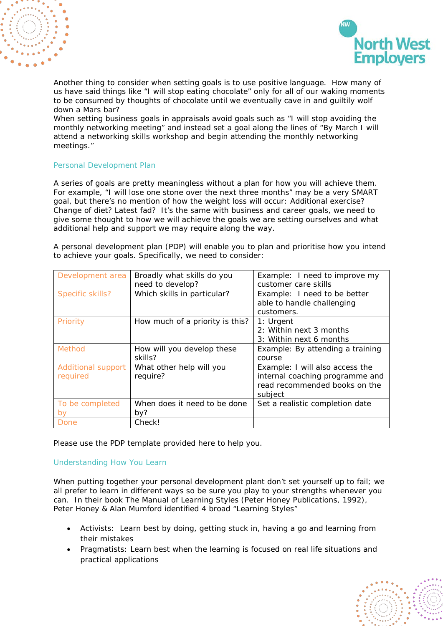



Another thing to consider when setting goals is to use positive language. How many of us have said things like "I will stop eating chocolate" only for all of our waking moments to be consumed by thoughts of chocolate until we eventually cave in and guiltily wolf down a Mars bar?

When setting business goals in appraisals avoid goals such as "I will stop avoiding the monthly networking meeting" and instead set a goal along the lines of "By March I will attend a networking skills workshop and begin attending the monthly networking meetings."

# Personal Development Plan

A series of goals are pretty meaningless without a plan for how you will achieve them. For example, "I will lose one stone over the next three months" may be a very SMART goal, but there's no mention of how the weight loss will occur: Additional exercise? Change of diet? Latest fad? It's the same with business and career goals, we need to give some thought to how we will achieve the goals we are setting ourselves and what additional help and support we may require along the way.

A personal development plan (PDP) will enable you to plan and prioritise how you intend to achieve your goals. Specifically, we need to consider:

| Development area   | Broadly what skills do you      | Example: I need to improve my    |
|--------------------|---------------------------------|----------------------------------|
|                    | need to develop?                | customer care skills             |
| Specific skills?   | Which skills in particular?     | Example: I need to be better     |
|                    |                                 | able to handle challenging       |
|                    |                                 | customers.                       |
| Priority           | How much of a priority is this? | 1: Urgent                        |
|                    |                                 | 2: Within next 3 months          |
|                    |                                 | 3: Within next 6 months          |
| <b>Method</b>      | How will you develop these      | Example: By attending a training |
|                    | skills?                         | course                           |
| Additional support | What other help will you        | Example: I will also access the  |
| required           | require?                        | internal coaching programme and  |
|                    |                                 | read recommended books on the    |
|                    |                                 | subject                          |
| To be completed    | When does it need to be done    | Set a realistic completion date  |
| by                 | by?                             |                                  |
| Done               | Check!                          |                                  |

Please use the PDP template provided here to help you.

## Understanding How You Learn

When putting together your personal development plant don't set yourself up to fail; we all prefer to learn in different ways so be sure you play to your strengths whenever you can. In their book The Manual of Learning Styles (Peter Honey Publications, 1992), Peter Honey & Alan Mumford identified 4 broad "Learning Styles"

- Activists: Learn best by doing, getting stuck in, having a go and learning from their mistakes
- Pragmatists: Learn best when the learning is focused on real life situations and practical applications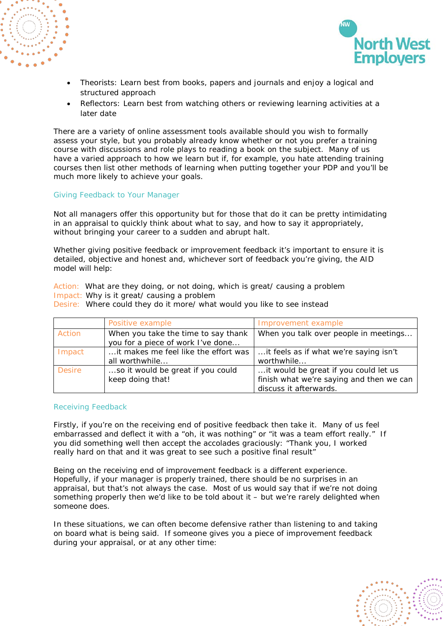



- Theorists: Learn best from books, papers and journals and enjoy a logical and structured approach
- Reflectors: Learn best from watching others or reviewing learning activities at a later date

There are a variety of online assessment tools available should you wish to formally assess your style, but you probably already know whether or not you prefer a training course with discussions and role plays to reading a book on the subject. Many of us have a varied approach to how we learn but if, for example, you hate attending training courses then list other methods of learning when putting together your PDP and you'll be much more likely to achieve your goals.

#### Giving Feedback to Your Manager

Not all managers offer this opportunity but for those that do it can be pretty intimidating in an appraisal to quickly think about what to say, and how to say it appropriately, without bringing your career to a sudden and abrupt halt.

Whether giving positive feedback or improvement feedback it's important to ensure it is detailed, objective and honest and, whichever sort of feedback you're giving, the AID model will help:

Action: What are they doing, or not doing, which is great/ causing a problem Impact: Why is it great/ causing a problem

Desire: Where could they do it more/ what would you like to see instead

|               | Positive example                     | Improvement example                      |
|---------------|--------------------------------------|------------------------------------------|
| Action        | When you take the time to say thank  | When you talk over people in meetings    |
|               | you for a piece of work I've done    |                                          |
| Impact        | it makes me feel like the effort was | it feels as if what we're saying isn't   |
|               | all worthwhile                       | worthwhile                               |
| <b>Desire</b> | so it would be great if you could    | it would be great if you could let us    |
|               | keep doing that!                     | finish what we're saying and then we can |
|               |                                      | discuss it afterwards.                   |

#### Receiving Feedback

Firstly, if you're on the receiving end of positive feedback then take it. Many of us feel embarrassed and deflect it with a "oh, it was nothing" or "it was a team effort really." If you did something well then accept the accolades graciously: "Thank you, I worked really hard on that and it was great to see such a positive final result"

Being on the receiving end of improvement feedback is a different experience. Hopefully, if your manager is properly trained, there should be no surprises in an appraisal, but that's not always the case. Most of us would say that if we're not doing something properly then we'd like to be told about it – but we're rarely delighted when someone does.

In these situations, we can often become defensive rather than listening to and taking on board what is being said. If someone gives you a piece of improvement feedback during your appraisal, or at any other time: